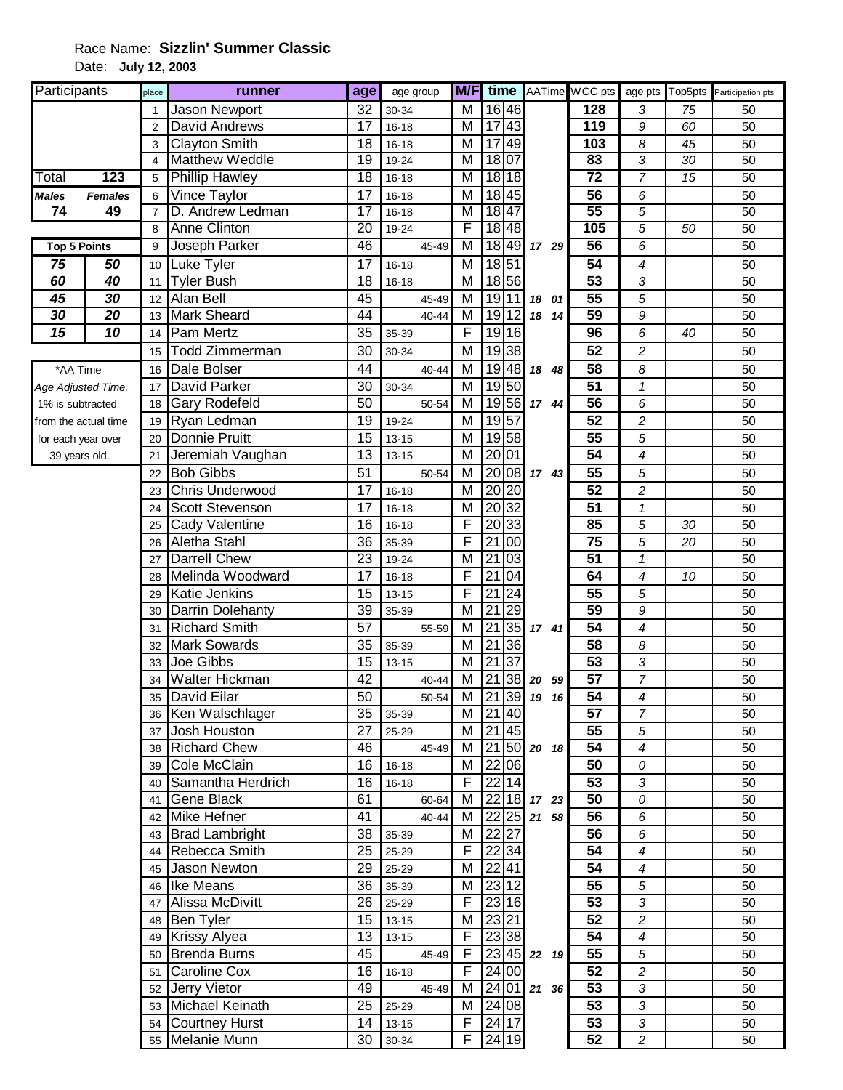## Race Name: **Sizzlin' Summer Classic** Date: **July 12, 2003**

| Participants         |                | place          | runner                 | age             | age group |                         |                                    |                          | <b>M/F</b> time AATime WCC pts |                          |                 | age pts Top5pts Participation pts |
|----------------------|----------------|----------------|------------------------|-----------------|-----------|-------------------------|------------------------------------|--------------------------|--------------------------------|--------------------------|-----------------|-----------------------------------|
|                      |                | $\mathbf{1}$   | Jason Newport          | 32              | 30-34     | M                       | $\overline{16}$ 46                 |                          | 128                            | 3                        | 75              | 50                                |
|                      |                | $\overline{2}$ | <b>David Andrews</b>   | 17              | $16 - 18$ | M                       | 17 43                              |                          | 119                            | $\boldsymbol{9}$         | 60              | 50                                |
|                      |                | 3              | <b>Clayton Smith</b>   | 18              | $16 - 18$ | M                       | 49<br>17                           |                          | 103                            | $\boldsymbol{8}$         | 45              | 50                                |
|                      |                | $\overline{4}$ | <b>Matthew Weddle</b>  | $\overline{19}$ | 19-24     | $\overline{\mathsf{M}}$ | 18 07                              |                          | 83                             | 3                        | $\overline{30}$ | $\overline{50}$                   |
| Total                | 123            | 5              | <b>Phillip Hawley</b>  | $\overline{18}$ | $16 - 18$ | M                       | 18 18                              |                          | $\overline{72}$                | $\overline{7}$           | 15              | 50                                |
| <b>Males</b>         | <b>Females</b> | 6              | Vince Taylor           | 17              | $16 - 18$ | M                       | 18 45                              |                          | 56                             | 6                        |                 | 50                                |
| 74                   | 49             | $\overline{7}$ | D. Andrew Ledman       | $\overline{17}$ | $16 - 18$ | M                       | 1847                               |                          | 55                             | $\overline{5}$           |                 | 50                                |
|                      |                | 8              | <b>Anne Clinton</b>    | 20              | 19-24     | F                       | 18 48                              |                          | 105                            | 5                        | 50              | 50                                |
| <b>Top 5 Points</b>  |                | 9              | Joseph Parker          | 46              | 45-49     | M                       | 18 49                              | 17 29                    | 56                             | 6                        |                 | 50                                |
| 75                   | 50             | 10             | <b>Luke Tyler</b>      | 17              | $16 - 18$ | M                       | 18 51                              |                          | 54                             | $\overline{\mathcal{A}}$ |                 | 50                                |
| 60                   | 40             | 11             | <b>Tyler Bush</b>      | 18              | $16 - 18$ | M                       | 18 56                              |                          | $\overline{53}$                | 3                        |                 | 50                                |
| 45                   | 30             | 12             | Alan Bell              | 45              | 45-49     | M                       | 19 11                              | 18 01                    | 55                             | 5                        |                 | 50                                |
| 30                   | 20             | 13             | <b>Mark Sheard</b>     | 44              | 40-44     | M                       | 19 12                              | 18 14                    | 59                             | 9                        |                 | 50                                |
| $\overline{15}$      | 10             | 14             | Pam Mertz              | 35              | 35-39     | F                       | 19 16                              |                          | 96                             | 6                        | 40              | 50                                |
|                      |                | 15             | Todd Zimmerman         | 30              | 30-34     | M                       | 19 38                              |                          | 52                             | $\overline{c}$           |                 | 50                                |
| *AA Time             |                | 16             | Dale Bolser            | 44              | $40 - 44$ | M                       | 19 48                              | 18 48                    | 58                             | 8                        |                 | 50                                |
| Age Adjusted Time.   |                | 17             | <b>David Parker</b>    | 30              | 30-34     | M                       | 1950                               |                          | 51                             | $\mathbf{1}$             |                 | 50                                |
| 1% is subtracted     |                | 18             | <b>Gary Rodefeld</b>   | 50              | 50-54     | M                       | 19 56                              | 17 44                    | 56                             | 6                        |                 | 50                                |
| from the actual time |                | 19             | Ryan Ledman            | 19              | 19-24     | M                       | 1957                               |                          | 52                             | $\boldsymbol{2}$         |                 | 50                                |
| for each year over   |                | 20             | Donnie Pruitt          | 15              | $13 - 15$ | M                       | 19 58                              |                          | 55                             | 5                        |                 | 50                                |
| 39 years old.        |                | 21             | Jeremiah Vaughan       | $\overline{13}$ | $13 - 15$ | М                       | 20 01                              |                          | $\overline{54}$                | 4                        |                 | 50                                |
|                      |                | 22             | <b>Bob Gibbs</b>       | 51              | 50-54     | M                       | 20 08                              | 17 43                    | 55                             | 5                        |                 | 50                                |
|                      |                | 23             | Chris Underwood        | 17              | $16 - 18$ | M                       | 20 20                              |                          | 52                             | $\overline{c}$           |                 | 50                                |
|                      |                | 24             | <b>Scott Stevenson</b> | 17              | $16 - 18$ | M                       | 20 32                              |                          | $\overline{51}$                | $\pmb{\mathcal{I}}$      |                 | 50                                |
|                      |                | 25             | Cady Valentine         | 16              | $16 - 18$ | F                       | 33<br>20                           |                          | 85                             | 5                        | 30              | 50                                |
|                      |                | 26             | Aletha Stahl           | 36              | 35-39     | F                       | 21<br>00                           |                          | $\overline{75}$                | 5                        | 20              | 50                                |
|                      |                | 27             | Darrell Chew           | 23              | 19-24     | M                       | 21<br>03                           |                          | 51                             | $\mathbf{1}$             |                 | 50                                |
|                      |                | 28             | Melinda Woodward       | 17              | $16 - 18$ | F                       | 21<br>04                           |                          | 64                             | $\overline{4}$           | 10              | 50                                |
|                      |                | 29             | <b>Katie Jenkins</b>   | 15              | $13 - 15$ | F                       | 21<br>24                           |                          | 55                             | 5                        |                 | 50                                |
|                      |                | 30             | Darrin Dolehanty       | 39              | 35-39     | M                       | 21<br>29                           |                          | 59                             | 9                        |                 | 50                                |
|                      |                | 31             | <b>Richard Smith</b>   | 57              | 55-59     | M                       | 21<br> 35                          | 17 41                    | 54                             | 4                        |                 | 50                                |
|                      |                | 32             | Mark Sowards           | 35              | 35-39     | M                       | $\overline{21}$<br>$\overline{36}$ |                          | 58                             | 8                        |                 | 50                                |
|                      |                | 33             | Joe Gibbs              | 15              | 13-15     | М                       | $\overline{21}$<br> 37             |                          | 53                             | 3                        |                 | 50                                |
|                      |                | 34             | <b>Walter Hickman</b>  | 42              | 40-44     | M                       | $\overline{21}$<br> 38             | 20 59                    | 57                             | $\overline{7}$           |                 | 50                                |
|                      |                | 35             | David Eilar            | 50              | 50-54     | M                       | 21 39                              | 19<br>16                 | 54                             | 4                        |                 | 50                                |
|                      |                | 36             | Ken Walschlager        | 35              | 35-39     | M                       | 21 40                              |                          | 57                             | $\overline{7}$           |                 | 50                                |
|                      |                | 37             | Josh Houston           | 27              | 25-29     | М                       | 21 45                              |                          | 55                             | 5                        |                 | 50                                |
|                      |                | 38             | <b>Richard Chew</b>    | 46              | 45-49     | M                       |                                    | $21 50 $ 20 18           | 54                             | $\overline{\mathcal{A}}$ |                 | 50                                |
|                      |                |                | 39 Cole McClain        | 16 <sup>1</sup> | 16-18     | M                       | 22 06                              |                          | 50                             | 0                        |                 | 50                                |
|                      |                |                | 40 Samantha Herdrich   | 16              | $16 - 18$ | F                       | 22 14                              |                          | $\overline{53}$                | $\mathfrak{Z}$           |                 | 50                                |
|                      |                | 41             | <b>Gene Black</b>      | 61              | 60-64     | M                       |                                    | 22 18 17 23              | 50                             | 0                        |                 | 50                                |
|                      |                |                | 42 Mike Hefner         | 41              | 40-44     | м                       |                                    | $22$ $25$ $21$ 58        | 56                             | 6                        |                 | 50                                |
|                      |                |                | 43 Brad Lambright      | 38              | 35-39     | M                       | 22 27                              |                          | $\overline{56}$                | 6                        |                 | 50                                |
|                      |                |                | 44 Rebecca Smith       | 25              | 25-29     | F                       | 22 34                              |                          | 54                             | 4                        |                 | 50                                |
|                      |                |                | 45 Jason Newton        | 29              | 25-29     | M                       | 22 41                              |                          | 54                             | $\overline{\mathcal{A}}$ |                 | 50                                |
|                      |                |                | 46 Ike Means           | 36              | 35-39     | M                       | 23 12                              |                          | 55                             | 5                        |                 | 50                                |
|                      |                | 47             | Alissa McDivitt        | 26              | 25-29     | F                       | 23 16                              |                          | 53                             | $\sqrt{3}$               |                 | 50                                |
|                      |                | 48             | <b>Ben Tyler</b>       | 15              | $13 - 15$ | M                       | 23 21                              |                          | 52                             | $\sqrt{2}$               |                 | 50                                |
|                      |                | 49             | <b>Krissy Alyea</b>    | 13              | $13 - 15$ | $\mathsf F$             | 23 38                              |                          | 54                             | $\boldsymbol{4}$         |                 | 50                                |
|                      |                |                | 50 Brenda Burns        | 45              | 45-49     | F                       |                                    | $\overline{2}3 45 22$ 19 | $\overline{55}$                | $\sqrt{5}$               |                 | 50                                |
|                      |                | 51             | <b>Caroline Cox</b>    | 16              | $16 - 18$ | F                       | 24 00                              |                          | 52                             | $\overline{c}$           |                 | 50                                |
|                      |                |                | 52 Jerry Vietor        | 49              | 45-49     | M                       |                                    | $24$ 01 21 36            | 53                             | $\sqrt{3}$               |                 | 50                                |
|                      |                |                | 53 Michael Keinath     | 25              | 25-29     | M                       | 24 08                              |                          | 53                             | $\sqrt{3}$               |                 | 50                                |
|                      |                | 54             | <b>Courtney Hurst</b>  | 14              | $13 - 15$ | F                       | 24 17                              |                          | 53                             | $\sqrt{3}$               |                 | 50                                |
|                      |                |                | 55 Melanie Munn        | 30              | $30 - 34$ | F                       | 24 19                              |                          | 52                             | $\overline{c}$           |                 | 50                                |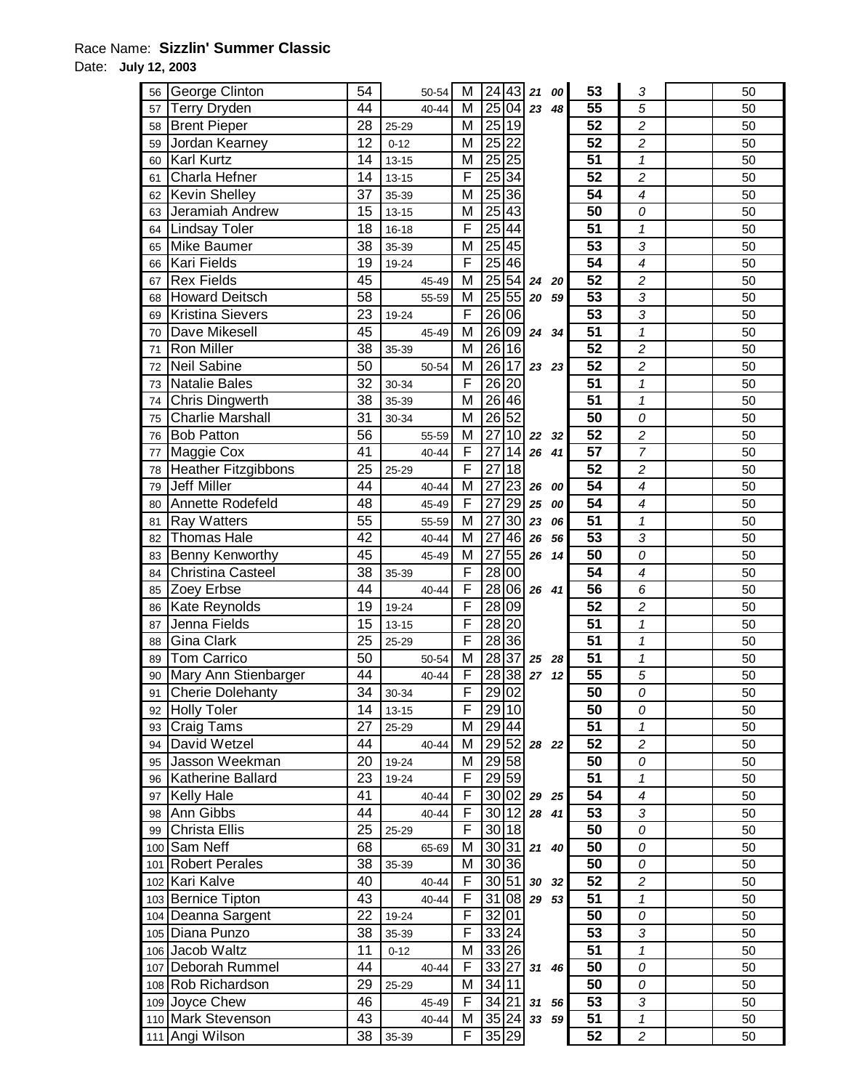## Race Name: **Sizzlin' Summer Classic**

Date: **July 12, 2003** 

| 56 | George Clinton             | 54              |           | 50-54     | М                       |                 | 24 43             |                | 21 00 | 53              | 3                        | 50 |
|----|----------------------------|-----------------|-----------|-----------|-------------------------|-----------------|-------------------|----------------|-------|-----------------|--------------------------|----|
| 57 | <b>Terry Dryden</b>        | 44              |           | 40-44     | М                       | 25              | 04                | 23             | 48    | 55              | 5                        | 50 |
| 58 | <b>Brent Pieper</b>        | 28              | 25-29     |           | M                       | 25              | 19                |                |       | 52              | $\overline{c}$           | 50 |
| 59 | Jordan Kearney             | 12              | $0 - 12$  |           | M                       | $\overline{25}$ | $\overline{22}$   |                |       | 52              | $\overline{c}$           | 50 |
| 60 | <b>Karl Kurtz</b>          | 14              | $13 - 15$ |           | M                       |                 | 25 25             |                |       | 51              | $\mathbf{1}$             | 50 |
| 61 | Charla Hefner              | 14              | $13 - 15$ |           | F                       |                 | 25 34             |                |       | $\overline{52}$ | $\boldsymbol{2}$         | 50 |
| 62 | <b>Kevin Shelley</b>       | $\overline{37}$ | 35-39     |           | $\overline{\mathsf{M}}$ |                 | $25\overline{36}$ |                |       | $\overline{54}$ | $\overline{\mathcal{A}}$ | 50 |
| 63 | Jeramiah Andrew            | 15              | $13 - 15$ |           | M                       | 25 43           |                   |                |       | $\overline{50}$ | 0                        | 50 |
| 64 | Lindsay Toler              | 18              | $16 - 18$ |           | F                       | $\overline{25}$ | 44                |                |       | 51              | $\mathbf{1}$             | 50 |
|    | Mike Baumer                | 38              | 35-39     |           | M                       |                 | $25\overline{45}$ |                |       | 53              | 3                        | 50 |
| 65 | Kari Fields                | 19              |           |           | $\overline{F}$          |                 | 25 46             |                |       | 54              | 4                        | 50 |
| 66 | <b>Rex Fields</b>          | 45              | 19-24     |           | M                       |                 | $25\overline{54}$ |                |       | $\overline{52}$ | $\overline{c}$           | 50 |
| 67 |                            |                 |           | 45-49     |                         |                 |                   | 24             | 20    | 53              |                          |    |
| 68 | Howard Deitsch             | 58              |           | 55-59     | M                       | 25              | 55                | 20 59          |       |                 | 3                        | 50 |
| 69 | <b>Kristina Sievers</b>    | 23              | 19-24     |           | F                       | 26              | 06                |                |       | 53              | 3                        | 50 |
| 70 | Dave Mikesell              | 45              |           | 45-49     | M                       | 26              | 09                | 24 34          |       | $\overline{51}$ | 1                        | 50 |
| 71 | <b>Ron Miller</b>          | 38              | 35-39     |           | M                       | 26              | 16                |                |       | 52              | $\overline{c}$           | 50 |
| 72 | <b>Neil Sabine</b>         | 50              |           | 50-54     | M                       | 26              | 17                | 23 23          |       | $\overline{52}$ | $\boldsymbol{2}$         | 50 |
| 73 | Natalie Bales              | 32              | 30-34     |           | F                       | 26              | 20                |                |       | $\overline{51}$ | 1                        | 50 |
| 74 | Chris Dingwerth            | 38              | 35-39     |           | $\overline{\mathsf{M}}$ |                 | $\sqrt{26/46}$    |                |       | $\overline{51}$ | $\mathbf{1}$             | 50 |
| 75 | <b>Charlie Marshall</b>    | 31              | 30-34     |           | M                       | 26 52           |                   |                |       | 50              | 0                        | 50 |
| 76 | <b>Bob Patton</b>          | 56              |           | 55-59     | M                       | $\overline{27}$ | 10                | 22             | 32    | $\overline{52}$ | $\boldsymbol{2}$         | 50 |
| 77 | Maggie Cox                 | 41              |           | 40-44     | F                       | 27              | 14                | 26             | 41    | 57              | $\overline{7}$           | 50 |
| 78 | <b>Heather Fitzgibbons</b> | $\overline{25}$ | 25-29     |           | $\overline{\mathsf{F}}$ | $\overline{27}$ | $\overline{18}$   |                |       | 52              | $\overline{2}$           | 50 |
| 79 | <b>Jeff Miller</b>         | 44              |           | 40-44     | M                       | 27              | $\overline{23}$   | 26             | 00    | 54              | 4                        | 50 |
| 80 | Annette Rodefeld           | 48              |           | 45-49     | F                       | 27              | 29                | 25             | 00    | 54              | 4                        | 50 |
| 81 | <b>Ray Watters</b>         | 55              |           | 55-59     | M                       | 27              | 30                | 23             | 06    | 51              | $\pmb{\mathcal{1}}$      | 50 |
| 82 | <b>Thomas Hale</b>         | 42              |           | 40-44     | М                       | 27              | 46                | 26             | 56    | 53              | 3                        | 50 |
| 83 | <b>Benny Kenworthy</b>     | 45              |           | 45-49     | M                       | 27              | 55                | 26             | 14    | 50              | 0                        | 50 |
| 84 | <b>Christina Casteel</b>   | 38              | 35-39     |           | F                       | $\overline{28}$ | 00                |                |       | 54              | $\overline{\mathcal{A}}$ | 50 |
| 85 | Zoey Erbse                 | 44              |           | $40 - 44$ | F                       | 28              |                   | 06 26 41       |       | 56              | 6                        | 50 |
| 86 | Kate Reynolds              | 19              | 19-24     |           | F                       |                 | 28 09             |                |       | $\overline{52}$ | $\overline{c}$           | 50 |
| 87 | Jenna Fields               | 15              | $13 - 15$ |           | F                       | 28 20           |                   |                |       | $\overline{51}$ | $\mathbf{1}$             | 50 |
| 88 | Gina Clark                 | 25              | 25-29     |           | F                       |                 | $\sqrt{28}$ 36    |                |       | 51              | $\mathbf{1}$             | 50 |
| 89 | Tom Carrico                | 50              |           | 50-54     | M                       | 28 37           |                   | 25 28          |       | 51              | 1                        | 50 |
| 90 | Mary Ann Stienbarger       | 44              |           | 40-44     | F                       |                 | 28 38             | 27             | 12    | 55              | 5                        | 50 |
| 91 | <b>Cherie Dolehanty</b>    | $\overline{34}$ | 30-34     |           | F                       |                 | 29 02             |                |       | 50              | 0                        | 50 |
| 92 | <b>Holly Toler</b>         | 14              | $13 - 15$ |           | F                       |                 | 29 10             |                |       | 50              | 0                        | 50 |
| 93 | Craig Tams                 | 27              | 25-29     |           | М                       |                 | 29 44             |                |       | 51              | 1                        | 50 |
| 94 | David Wetzel               | 44              |           | 40-44     | М                       |                 |                   | 29 52 28 22    |       | $\overline{52}$ | $\overline{c}$           | 50 |
| 95 | Jasson Weekman             | 20              | 19-24     |           | М                       |                 | 29 58             |                |       | 50              | 0                        | 50 |
| 96 | Katherine Ballard          | 23              | 19-24     |           | F                       |                 | 29 59             |                |       | 51              | $\mathcal I$             | 50 |
| 97 | <b>Kelly Hale</b>          | 41              |           | 40-44     | F                       |                 | 30 02             | 29 25          |       | 54              | 4                        | 50 |
| 98 | Ann Gibbs                  | 44              |           | $40 - 44$ | F                       | 30 12           |                   | 28 41          |       | 53              | 3                        | 50 |
| 99 | Christa Ellis              | 25              | 25-29     |           | F                       |                 | 30 18             |                |       | 50              | 0                        | 50 |
|    | 100 Sam Neff               | 68              |           | 65-69     | M                       |                 | 30 31             | 21 40          |       | 50              | 0                        | 50 |
|    | 101 Robert Perales         | 38              | 35-39     |           | M                       |                 | 30 36             |                |       | 50              | 0                        | 50 |
|    | 102 Kari Kalve             | 40              |           | 40-44     | $\overline{F}$          |                 | 30 51             |                |       | 52              | 2                        | 50 |
|    | 103 Bernice Tipton         | 43              |           | 40-44     | $\overline{F}$          |                 | 31 08             | 30 32<br>29 53 |       | 51              | $\mathbf{1}$             | 50 |
|    | 104 Deanna Sargent         | 22              |           |           | F                       | 32 01           |                   |                |       | 50              |                          |    |
|    |                            |                 | 19-24     |           | F                       |                 |                   |                |       | $\overline{53}$ | 0                        | 50 |
|    | 105 Diana Punzo            | 38              | 35-39     |           |                         |                 | 33 24             |                |       |                 | 3                        | 50 |
|    | 106 Jacob Waltz            | 11              | $0 - 12$  |           | М                       |                 | 33 26             |                |       | $\overline{51}$ | $\mathbf{1}$             | 50 |
|    | 107 Deborah Rummel         | 44              |           | 40-44     | F                       | 33 27           |                   | 31             | 46    | 50              | 0                        | 50 |
|    | 108 Rob Richardson         | 29              | 25-29     |           | M                       | 34 11           |                   |                |       | 50              | 0                        | 50 |
|    | 109 Joyce Chew             | 46              |           | 45-49     | F                       |                 | 34 21             | 31             | 56    | 53              | 3                        | 50 |
|    | 110 Mark Stevenson         | 43              |           | 40-44     | М                       |                 | 35 24             |                | 33 59 | 51              | $\mathbf{1}$             | 50 |
|    | 111 Angi Wilson            | 38              | 35-39     |           | F                       |                 | 35 29             |                |       | $\overline{52}$ | $\overline{c}$           | 50 |